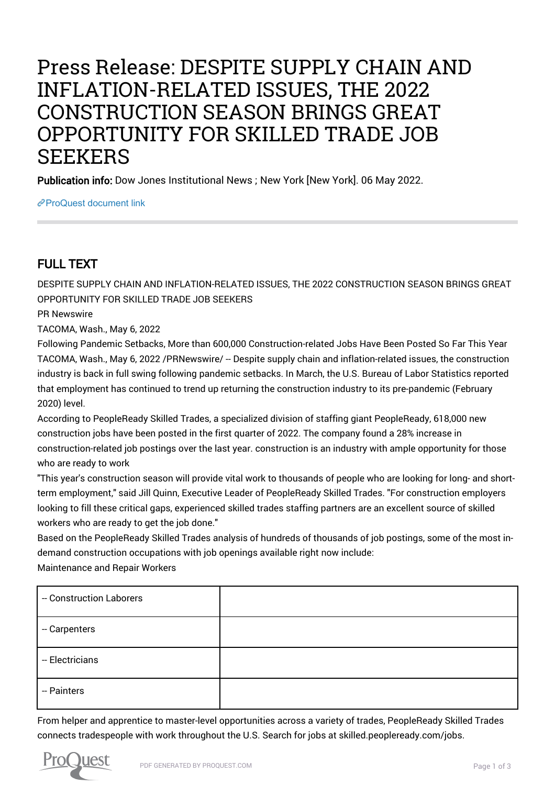# Press Release: DESPITE SUPPLY CHAIN AND INFLATION-RELATED ISSUES, THE 2022 CONSTRUCTION SEASON BRINGS GREAT OPPORTUNITY FOR SKILLED TRADE JOB **SEEKERS**

Publication info: Dow Jones Institutional News ; New York [New York]. 06 May 2022.

[ProQuest document link](https://www.proquest.com/wire-feeds/press-release-despite-supply-chain-inflation/docview/2660233461/se-2?accountid=44910)

## FULL TEXT

DESPITE SUPPLY CHAIN AND INFLATION-RELATED ISSUES, THE 2022 CONSTRUCTION SEASON BRINGS GREAT OPPORTUNITY FOR SKILLED TRADE JOB SEEKERS

PR Newswire

TACOMA, Wash., May 6, 2022

Following Pandemic Setbacks, More than 600,000 Construction-related Jobs Have Been Posted So Far This Year TACOMA, Wash., May 6, 2022 /PRNewswire/ -- Despite supply chain and inflation-related issues, the construction industry is back in full swing following pandemic setbacks. In March, the U.S. Bureau of Labor Statistics reported that employment has continued to trend up returning the construction industry to its pre-pandemic (February 2020) level.

According to PeopleReady Skilled Trades, a specialized division of staffing giant PeopleReady, 618,000 new construction jobs have been posted in the first quarter of 2022. The company found a 28% increase in construction-related job postings over the last year. construction is an industry with ample opportunity for those who are ready to work

"This year's construction season will provide vital work to thousands of people who are looking for long- and shortterm employment," said Jill Quinn, Executive Leader of PeopleReady Skilled Trades. "For construction employers looking to fill these critical gaps, experienced skilled trades staffing partners are an excellent source of skilled workers who are ready to get the job done."

Based on the PeopleReady Skilled Trades analysis of hundreds of thousands of job postings, some of the most indemand construction occupations with job openings available right now include:

Maintenance and Repair Workers

| - Construction Laborers |  |
|-------------------------|--|
| - Carpenters            |  |
| -- Electricians         |  |
| - Painters              |  |

From helper and apprentice to master-level opportunities across a variety of trades, PeopleReady Skilled Trades connects tradespeople with work throughout the U.S. Search for jobs at skilled.peopleready.com/jobs.

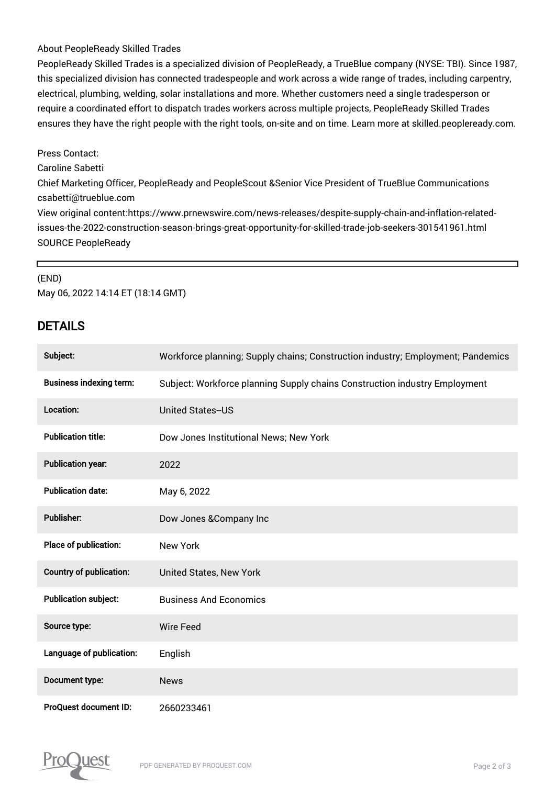#### About PeopleReady Skilled Trades

PeopleReady Skilled Trades is a specialized division of PeopleReady, a TrueBlue company (NYSE: TBI). Since 1987, this specialized division has connected tradespeople and work across a wide range of trades, including carpentry, electrical, plumbing, welding, solar installations and more. Whether customers need a single tradesperson or require a coordinated effort to dispatch trades workers across multiple projects, PeopleReady Skilled Trades ensures they have the right people with the right tools, on-site and on time. Learn more at skilled.peopleready.com.

#### Press Contact:

Caroline Sabetti

Chief Marketing Officer, PeopleReady and PeopleScout &Senior Vice President of TrueBlue Communications csabetti@trueblue.com

View original content:https://www.prnewswire.com/news-releases/despite-supply-chain-and-inflation-relatedissues-the-2022-construction-season-brings-great-opportunity-for-skilled-trade-job-seekers-301541961.html SOURCE PeopleReady

#### (END)

 $\Gamma$ 

May 06, 2022 14:14 ET (18:14 GMT)

### DETAILS

| Subject:                       | Workforce planning; Supply chains; Construction industry; Employment; Pandemics |
|--------------------------------|---------------------------------------------------------------------------------|
| <b>Business indexing term:</b> | Subject: Workforce planning Supply chains Construction industry Employment      |
| Location:                      | <b>United States-US</b>                                                         |
| <b>Publication title:</b>      | Dow Jones Institutional News; New York                                          |
| <b>Publication year:</b>       | 2022                                                                            |
| <b>Publication date:</b>       | May 6, 2022                                                                     |
| <b>Publisher:</b>              | Dow Jones & Company Inc                                                         |
| Place of publication:          | <b>New York</b>                                                                 |
| Country of publication:        | United States, New York                                                         |
| <b>Publication subject:</b>    | <b>Business And Economics</b>                                                   |
| Source type:                   | <b>Wire Feed</b>                                                                |
| Language of publication:       | English                                                                         |
| Document type:                 | <b>News</b>                                                                     |
| <b>ProQuest document ID:</b>   | 2660233461                                                                      |